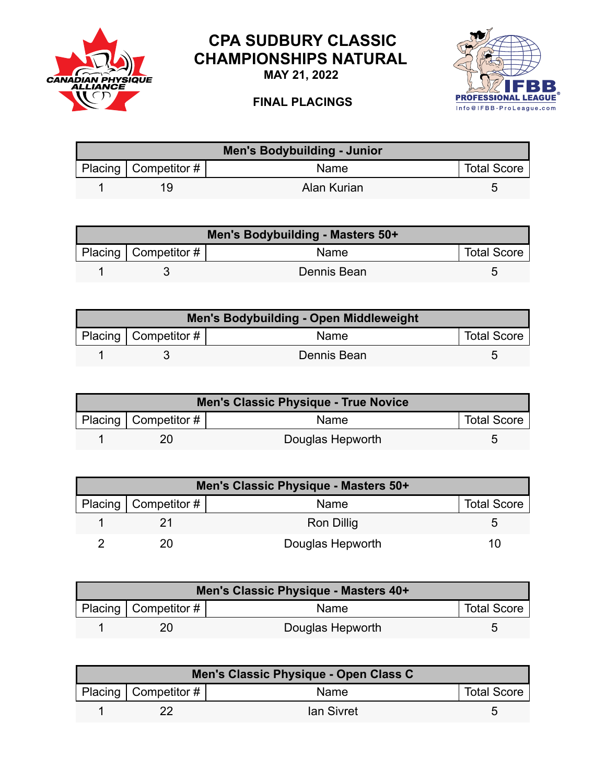

## **CPA SUDBURY CLASSIC CHAMPIONSHIPS NATURAL**

**MAY 21, 2022**

## **FINAL PLACINGS**



| <b>Men's Bodybuilding - Junior</b> |                        |             |                    |  |
|------------------------------------|------------------------|-------------|--------------------|--|
|                                    | Placing   Competitor # | <b>Name</b> | <b>Total Score</b> |  |
|                                    | 1 Q                    | Alan Kurian |                    |  |

| Men's Bodybuilding - Masters 50+ |                        |             |                    |
|----------------------------------|------------------------|-------------|--------------------|
|                                  | Placing   Competitor # | Name        | <b>Total Score</b> |
|                                  |                        | Dennis Bean |                    |

| Men's Bodybuilding - Open Middleweight |                           |             |                    |  |
|----------------------------------------|---------------------------|-------------|--------------------|--|
|                                        | Placing   Competitor $\#$ | <b>Name</b> | <b>Total Score</b> |  |
|                                        |                           | Dennis Bean |                    |  |

| Men's Classic Physique - True Novice |                        |                  |                    |  |
|--------------------------------------|------------------------|------------------|--------------------|--|
|                                      | Placing   Competitor # | Name             | <b>Total Score</b> |  |
|                                      |                        | Douglas Hepworth |                    |  |

| Men's Classic Physique - Masters 50+ |                        |                   |                    |  |
|--------------------------------------|------------------------|-------------------|--------------------|--|
|                                      | Placing   Competitor # | Name              | <b>Total Score</b> |  |
|                                      |                        | <b>Ron Dillig</b> |                    |  |
|                                      |                        | Douglas Hepworth  | 10                 |  |

| Men's Classic Physique - Masters 40+ |                            |                  |                    |  |
|--------------------------------------|----------------------------|------------------|--------------------|--|
|                                      | Placing   Competitor # $ $ | <b>Name</b>      | <b>Total Score</b> |  |
|                                      |                            | Douglas Hepworth |                    |  |

| Men's Classic Physique - Open Class C |                        |             |                    |  |
|---------------------------------------|------------------------|-------------|--------------------|--|
|                                       | Placing   Competitor # | <b>Name</b> | <b>Total Score</b> |  |
|                                       |                        | lan Sivret  |                    |  |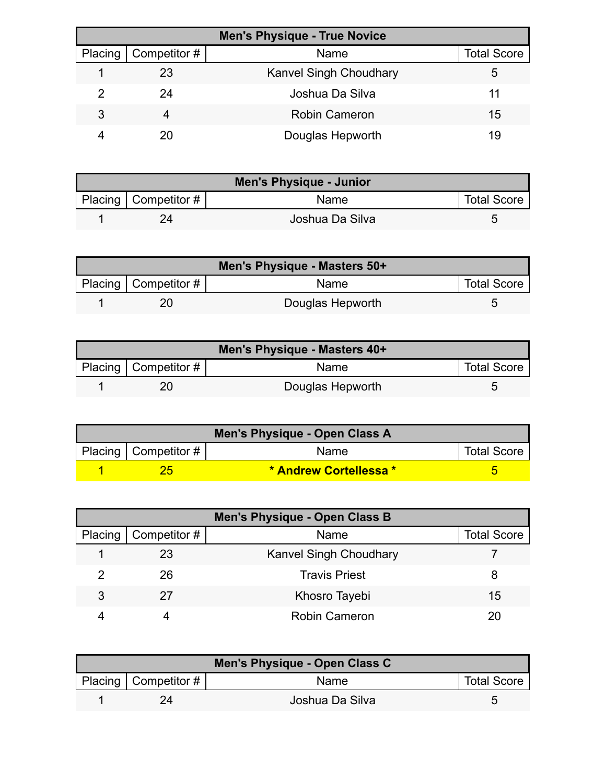| <b>Men's Physique - True Novice</b> |                     |                               |                    |
|-------------------------------------|---------------------|-------------------------------|--------------------|
| Placing                             | $\mid$ Competitor # | Name                          | <b>Total Score</b> |
|                                     | 23                  | <b>Kanvel Singh Choudhary</b> | b                  |
|                                     | 24                  | Joshua Da Silva               | 11                 |
| 3                                   | 4                   | <b>Robin Cameron</b>          | 15                 |
|                                     | 20                  | Douglas Hepworth              | 19                 |

| <b>Men's Physique - Junior</b> |                          |                 |                    |
|--------------------------------|--------------------------|-----------------|--------------------|
|                                | Placing   Competitor $#$ | <b>Name</b>     | <b>Total Score</b> |
|                                |                          | Joshua Da Silva |                    |

| Men's Physique - Masters 50+ |                  |                    |  |
|------------------------------|------------------|--------------------|--|
| Placing   Competitor #       | <b>Name</b>      | <b>Total Score</b> |  |
|                              | Douglas Hepworth |                    |  |

| Men's Physique - Masters 40+ |                        |                  |                    |  |
|------------------------------|------------------------|------------------|--------------------|--|
|                              | Placing   Competitor # | Name             | <b>Total Score</b> |  |
|                              |                        | Douglas Hepworth |                    |  |

| Men's Physique - Open Class A |                        |                        |                    |  |
|-------------------------------|------------------------|------------------------|--------------------|--|
|                               | Placing   Competitor # | <b>Name</b>            | <b>Total Score</b> |  |
|                               |                        | * Andrew Cortellessa * |                    |  |

| Men's Physique - Open Class B |              |                               |                    |
|-------------------------------|--------------|-------------------------------|--------------------|
| Placing                       | Competitor # | Name                          | <b>Total Score</b> |
|                               | 23           | <b>Kanvel Singh Choudhary</b> |                    |
|                               | 26           | <b>Travis Priest</b>          |                    |
| 3                             | 27           | Khosro Tayebi                 | 15                 |
|                               |              | <b>Robin Cameron</b>          |                    |

| Men's Physique - Open Class C |                        |                 |                    |  |
|-------------------------------|------------------------|-----------------|--------------------|--|
|                               | Placing   Competitor # | <b>Name</b>     | <b>Total Score</b> |  |
|                               |                        | Joshua Da Silva |                    |  |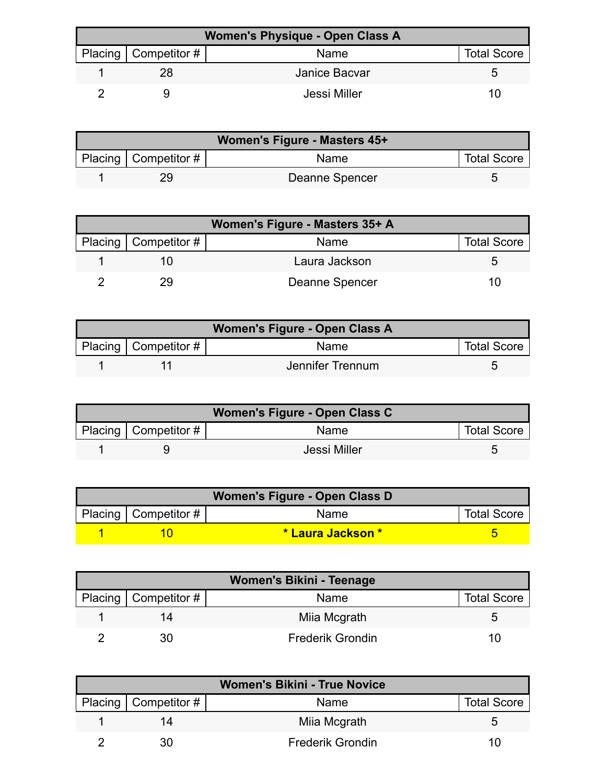| <b>Women's Physique - Open Class A</b> |                        |               |                    |  |
|----------------------------------------|------------------------|---------------|--------------------|--|
|                                        | Placing   Competitor # | Name          | <b>Total Score</b> |  |
|                                        |                        | Janice Bacvar | G                  |  |
|                                        |                        | Jessi Miller  | 10                 |  |

| Women's Figure - Masters 45+ |                        |                |                    |  |
|------------------------------|------------------------|----------------|--------------------|--|
|                              | Placing   Competitor # | <b>Name</b>    | <b>Total Score</b> |  |
|                              |                        | Deanne Spencer |                    |  |

| Women's Figure - Masters 35+ A |                |                    |  |
|--------------------------------|----------------|--------------------|--|
| Placing   Competitor #         | <b>Name</b>    | <b>Total Score</b> |  |
|                                | Laura Jackson  |                    |  |
| 29                             | Deanne Spencer | 11                 |  |

| Women's Figure - Open Class A |                        |                  |                    |  |
|-------------------------------|------------------------|------------------|--------------------|--|
|                               | Placing   Competitor # | Name             | <b>Total Score</b> |  |
|                               |                        | Jennifer Trennum |                    |  |

| Women's Figure - Open Class C |                            |              |                    |  |
|-------------------------------|----------------------------|--------------|--------------------|--|
|                               | Placing   Competitor # $ $ | Name         | <b>Total Score</b> |  |
|                               |                            | Jessi Miller |                    |  |

| Women's Figure - Open Class D |                           |                           |                    |  |
|-------------------------------|---------------------------|---------------------------|--------------------|--|
|                               | Placing   Competitor $\#$ | <b>Name</b>               | <b>Total Score</b> |  |
|                               |                           | <u>* Laura Jackson * </u> |                    |  |

| <b>Women's Bikini - Teenage</b> |                        |                         |                    |
|---------------------------------|------------------------|-------------------------|--------------------|
|                                 | Placing   Competitor # | Name                    | <b>Total Score</b> |
|                                 | 14                     | Miia Mcgrath            |                    |
|                                 | 30                     | <b>Frederik Grondin</b> | 10                 |

| <b>Women's Bikini - True Novice</b> |                        |                         |                    |
|-------------------------------------|------------------------|-------------------------|--------------------|
|                                     | Placing   Competitor # | Name                    | <b>Total Score</b> |
|                                     | 14                     | Miia Mcgrath            | G                  |
|                                     | 30                     | <b>Frederik Grondin</b> | 10                 |